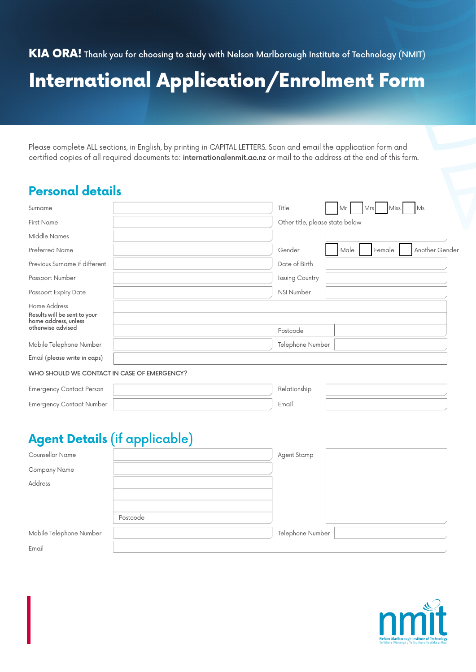KIA ORA! Thank you for choosing to study with Nelson Marlborough Institute of Technology (NMIT)

# International Application/Enrolment Form

Please complete ALL sections, in English, by printing in CAPITAL LETTERS. Scan and email the application form and certified copies of all required documents to: international@nmit.ac.nz or mail to the address at the end of this form.

## **Personal details**

| Surname                                                                                   | Title                           | Mr   | Mrs | Miss   | Ms             |
|-------------------------------------------------------------------------------------------|---------------------------------|------|-----|--------|----------------|
| <b>First Name</b>                                                                         | Other title, please state below |      |     |        |                |
| Middle Names                                                                              |                                 |      |     |        |                |
| Preferred Name                                                                            | Gender                          | Male |     | Female | Another Gender |
| Previous Surname if different                                                             | Date of Birth                   |      |     |        |                |
| Passport Number                                                                           | Issuing Country                 |      |     |        |                |
| Passport Expiry Date                                                                      | <b>NSI Number</b>               |      |     |        |                |
| Home Address<br>Results will be sent to your<br>home address, unless<br>otherwise advised | Postcode                        |      |     |        |                |
| Mobile Telephone Number                                                                   | Telephone Number                |      |     |        |                |
| Email (please write in caps)                                                              |                                 |      |     |        |                |
| WHO SHOULD WE CONTACT IN CASE OF EMERGENCY?                                               |                                 |      |     |        |                |
| <b>Emergency Contact Person</b>                                                           | Relationship                    |      |     |        |                |

# Emergency Contact Number  $\vert$  Email

# **Agent Details** (if applicable)

|                         | . .<br>- |                  |  |
|-------------------------|----------|------------------|--|
| Counsellor Name         |          | Agent Stamp      |  |
| Company Name            |          |                  |  |
| Address                 |          |                  |  |
|                         |          |                  |  |
|                         |          |                  |  |
|                         | Postcode |                  |  |
| Mobile Telephone Number |          | Telephone Number |  |
| Email                   |          |                  |  |

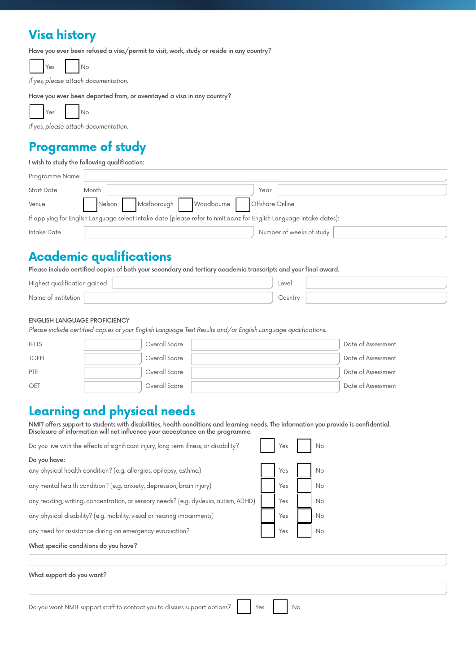## **Visa history**

Have you ever been refused a visa/permit to visit, work, study or reside in any country?

Yes No

If yes, please attach documentation.

Have you ever been deported from, or overstayed a visa in any country?

Yes No

If yes, please attach documentation.

#### **Programme of study**

I wish to study the following qualification:

| Programme Name                                                                                                      |                                               |  |  |  |  |  |
|---------------------------------------------------------------------------------------------------------------------|-----------------------------------------------|--|--|--|--|--|
| <b>Start Date</b>                                                                                                   | Month<br>Year                                 |  |  |  |  |  |
| Venue                                                                                                               | Nelson Marlborough Woodbourne Offshore Online |  |  |  |  |  |
| If applying for English Language select intake date (please refer to nmit.ac.nz for English Language intake dates): |                                               |  |  |  |  |  |
| Intake Date                                                                                                         | Number of weeks of study                      |  |  |  |  |  |

#### **Academic qualifications**

Please include certified copies of both your secondary and tertiary academic transcripts and your final award.

| Higher<br>aained<br>auglitication<br>ຼ | Level  |  |
|----------------------------------------|--------|--|
| Name ot<br>r institution.              | Counti |  |

#### ENGLISH LANGUAGE PROFICIENCY

Please include certified copies of your English Language Test Results and/or English Language qualifications.

| <b>IELTS</b> | Overall Score | Date of Assessment |
|--------------|---------------|--------------------|
| <b>TOEFL</b> | Overall Score | Date of Assessment |
| PTE          | Overall Score | Date of Assessment |
| OET          | Overall Score | Date of Assessment |

### **Learning and physical needs**

NMIT offers support to students with disabilities, health conditions and learning needs. The information you provide is confidential. Disclosure of information will not influence your acceptance on the programme.

| Do you have:                                                                         |  |     |  |    |  |  |  |  |
|--------------------------------------------------------------------------------------|--|-----|--|----|--|--|--|--|
| any physical health condition? (e.g. allergies, epilepsy, asthma)                    |  | Yes |  | No |  |  |  |  |
| any mental health condition? (e.g. anxiety, depression, brain injury)                |  | Yes |  | No |  |  |  |  |
| any reading, writing, concentration, or sensory needs? (e.g. dyslexia, autism, ADHD) |  | Yes |  | No |  |  |  |  |
| any physical disability? (e.g. mobility, visual or hearing impairments)              |  | Yes |  | No |  |  |  |  |
| any need for assistance during an emergency evacuation?                              |  | Yes |  | No |  |  |  |  |
| What specific conditions do you have?                                                |  |     |  |    |  |  |  |  |
|                                                                                      |  |     |  |    |  |  |  |  |
| What support do you want?                                                            |  |     |  |    |  |  |  |  |
|                                                                                      |  |     |  |    |  |  |  |  |

Do you want NMIT support staff to contact you to discuss support options? Yes No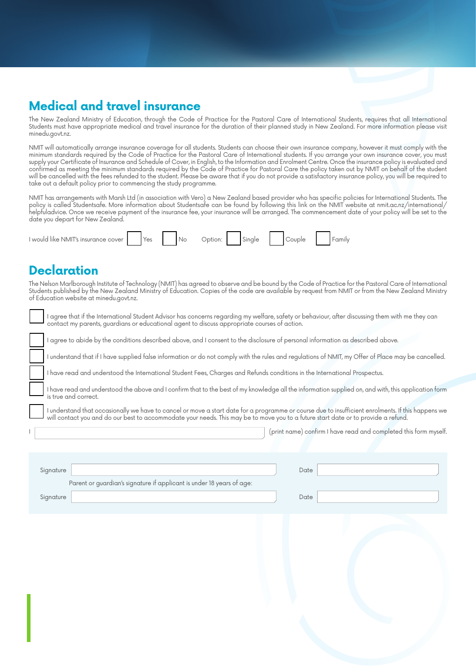# **Medical and travel insurance**

The New Zealand Ministry of Education, through the Code of Practice for the Pastoral Care of International Students, requires that all International Students must have appropriate medical and travel insurance for the duration of their planned study in New Zealand. For more information please visit minedu.govt.nz.

NMIT will automatically arrange insurance coverage for all students. Students can choose their own insurance company, however it must comply with the minimum standards required by the Code of Practice for the Pastoral Care of International students. If you arrange your own insurance cover, you must supply your Certificate of Insurance and Schedule of Cover, in English, to the Information and Enrolment Centre. Once the insurance policy is evaluated and confirmed as meeting the minimum standards required by the Code of Practice for Pastoral Care the policy taken out by NMIT on behalf of the student will be cancelled with the fees refunded to the student. Please be aware that if you do not provide a satisfactory insurance policy, you will be required to take out a default policy prior to commencing the study programme.

NMIT has arrangements with Marsh Ltd (in association with Vero) a New Zealand based provider who has specific policies for International Students. The policy is called Studentsafe. More information about Studentsafe can be found by following this link on the NMIT website at nmit.ac.nz/international/ helpfuladvice. Once we receive payment of the insurance fee, your insurance will be arranged. The commencement date of your policy will be set to the date you depart for New Zealand.

| I would like NMIT's insurance c<br>cover |  | es |  | $N_{\ell}$ |  |  | $\sim$ |  |  |  | unii |
|------------------------------------------|--|----|--|------------|--|--|--------|--|--|--|------|
|------------------------------------------|--|----|--|------------|--|--|--------|--|--|--|------|

### **Declaration**

٦

The Nelson Marlborough Institute of Technology (NMIT) has agreed to observe and be bound by the Code of Practice for the Pastoral Care of International Students published by the New Zealand Ministry of Education. Copies of the code are available by request from NMIT or from the New Zealand Ministry of Education website at minedu.govt.nz.

| agree that it the International Student Advisor has concerns regarding my weltare, satety or behaviour, atter discussing them with me they can<br>contact my parents, guardians or educational agent to discuss appropriate courses of action.                                           |
|------------------------------------------------------------------------------------------------------------------------------------------------------------------------------------------------------------------------------------------------------------------------------------------|
| agree to abide by the conditions described above, and I consent to the disclosure of personal information as described above.                                                                                                                                                            |
| I understand that if I have supplied false information or do not comply with the rules and regulations of NMIT, my Offer of Place may be cancelled.                                                                                                                                      |
| I have read and understood the International Student Fees, Charges and Refunds conditions in the International Prospectus.                                                                                                                                                               |
| I have read and understood the above and I confirm that to the best of my knowledge all the information supplied on, and with, this application form<br>is true and correct.                                                                                                             |
| I understand that occasionally we have to cancel or move a start date for a programme or course due to insufficient enrolments. If this happens we<br>will contact you and do our best to accommodate your needs. This may be to move you to a future start date or to provide a refund. |
| (print name) confirm I have read and completed this form myself.                                                                                                                                                                                                                         |
| Signature<br>Date<br>Parent or guardian's signature if applicant is under 18 years of age:                                                                                                                                                                                               |
| Signature<br>Date                                                                                                                                                                                                                                                                        |
|                                                                                                                                                                                                                                                                                          |